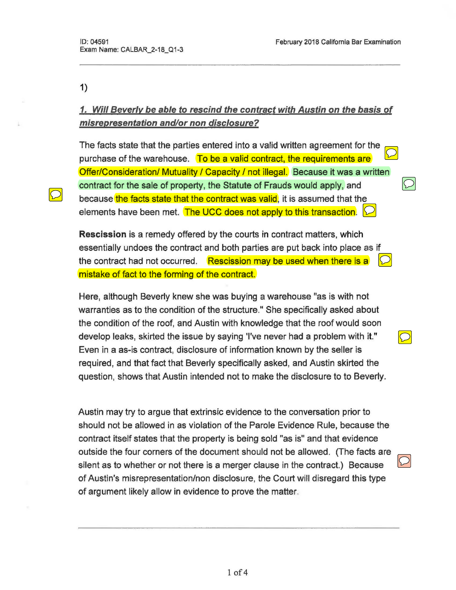1)

# 1. Will Beverly be able to rescind the contract with Austin on the basis of misrepresentation and/or non disclosure?

The facts state that the parties entered into a valid written agreement for the purchase of the warehouse. To be a valid contract, the requirements are Offer/Consideration/ Mutuality / Capacity / not illegal. Because it was a written contract for the sale of property, the Statute of Frauds would apply, and because the facts state that the contract was valid, it is assumed that the elements have been met. The UCC does not apply to this transaction.  $\Box$ 

Rescission is a remedy offered by the courts in contract matters, which essentially undoes the contract and both parties are put back into place as if the contract had not occurred. Rescission may be used when there is a mistake of fact to the forming of the contract.

Here, although Beverly knew she was buying a warehouse "as is with not warranties as to the condition of the structure." She specifically asked about the condition of the roof, and Austin with knowledge that the roof would soon develop leaks, skirted the issue by saying 'I've never had a problem with it." Even in a as-is contract, disclosure of information known by the seller is required, and that fact that Beverly specifically asked, and Austin skirted the question, shows that Austin intended not to make the disclosure to to Beverly.

Austin may try to argue that extrinsic evidence to the conversation prior to should not be allowed in as violation of the Parole Evidence Rule, because the contract itself states that the property is being sold "as is" and that evidence outside the four corners of the document should not be allowed. (The facts are silent as to whether or not there is a merger clause in the contract.) Because of Austin's misrepresentation/non disclosure, the Court will disregard this type of argument likely allow in evidence to prove the matter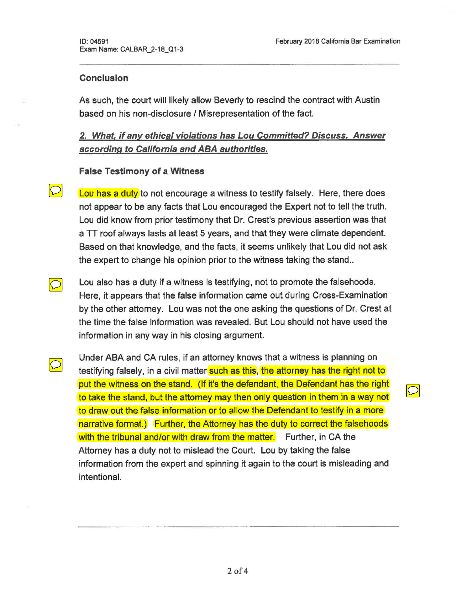$|\bigcirc|$ 

### Conclusion

 $\overline{\bigcirc}$ 

 $\bigcirc$ 

As such, the court will likely allow Beverly to rescind the contract with Austin based on his non-disclosure / Misrepresentation of the fact.

## 2. What, if any ethical violations has Lou Committed? Discuss. Answer according to California and ABA authorities.

### False Testimony of a Witness

Lou has a duty to not encourage a witness to testify falsely. Here, there does not appear to be any facts that Lou encouraged the Expert not to tell the truth. Lou did know from prior testimony that Dr. Crest's previous assertion was that a  $TT$  roof always lasts at least 5 years, and that they were climate dependent. Based on that knowledge, and the facts, it seems unlikely that Lou did not ask the expert to change his opinion prior to the witness taking the stand...

Lou also has a duty if a witness is testifying, not to promote the falsehoods. Here, it appears that the false information came out during Cross-Examination by the other attorney. Lou was not the one asking the questions of Dr. Crest at the time the false information was revealed. But Lou should not have used the information in any way in his closing argument.

Under ABA and CA rules, if an attorney knows that a witness is planning on testifying falsely, in a civil matter such as this, the attorney has the right not to put the witness on the stand. (If it's the defendant, the Defendant has the right to take the stand, but the attorney may then only question in them in a way not to draw out the false information or to allow the Defendant to testify in a more narrative format.) Further, the Attorney has the duty to correct the falsehoods with the tribunal and/or with draw from the matter. Further, in CA the Attorney has a duty not to mislead the Court. Lou by taking the false information from the expert and spinning it again to the court is misleading and intentional.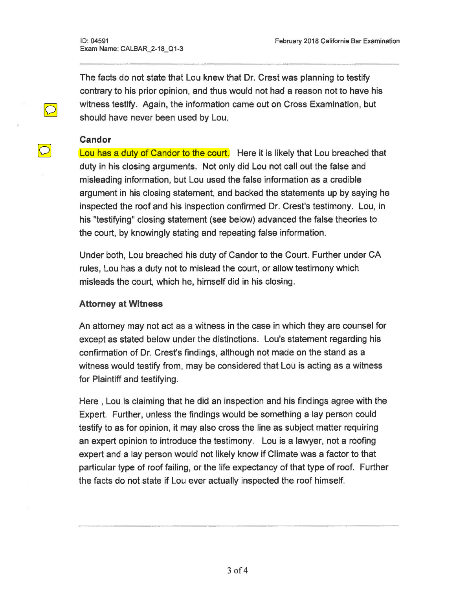Exam Name: CALBAR\_2-18\_Q1-3

The facts do not state that Lou knew that Dr. Crest was planning to testify contrary to his prior opinion, and thus would not had a reason not to have his witness testify. Again, the information came out on Cross Examination, but should have never been used by Lou.

#### Candor

 $\boxed{\bigcirc}$ 

Lou has a duty of Candor to the court. Here it is likely that Lou breached that duty in his closing arguments. Not only did Lou not call out the false and misleading information, but Lou used the false information as a credible argument in his closing statement, and backed the statements up by saying he inspected the roof and his inspection confirmed Dr. Crest's testimony. Lou, in his "testifying" closing statement (see below) advanced the false theories to the court, by knowingly stating and repeating false information.

Under both, Lou breached his duty of Candor to the Court. Further under CA rules, Lou has a duty not to mislead the court, or allow testimony which misleads the court, which he, himself did in his closing.

#### Attorney at Witness

An attorney may not act as a witness in the case in which they are counsel for except as stated below under the distinctions. Lou's statement regarding his confirmation of Dr. Crest's findings, although not made on the stand as a witness would testify from, may be considered that Lou is acting as a witness for Plaintiff and testifying.

Here , Lou is claiming that he did an inspection and his findings agree with the Expert. Further, unless the findings would be something a lay person could testify to as for opinion, it may also cross the line as subject matter requiring an expert opinion to introduce the testimony. Lou is a lawyer, not a roofing expert and a lay person would not likely know if Climate was a factor to that particular type of roof failing, or the life expectancy of that type of roof. Further the facts do not state if Lou ever actually inspected the roof himself.

 $3$  of  $4$